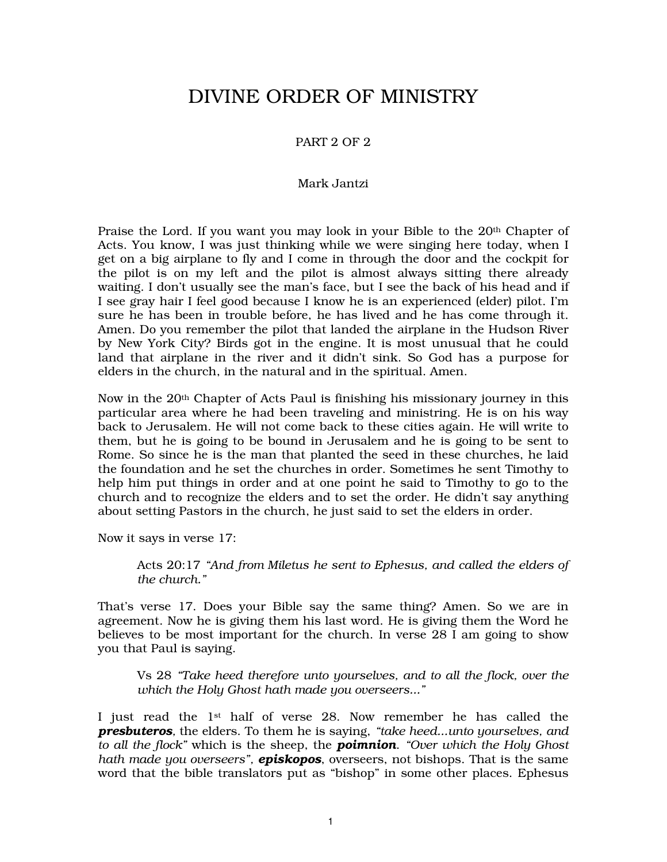# DIVINE ORDER OF MINISTRY

## PART 2 OF 2

#### Mark Jantzi

Praise the Lord. If you want you may look in your Bible to the 20<sup>th</sup> Chapter of Acts. You know, I was just thinking while we were singing here today, when I get on a big airplane to fly and I come in through the door and the cockpit for the pilot is on my left and the pilot is almost always sitting there already waiting. I don't usually see the man's face, but I see the back of his head and if I see gray hair I feel good because I know he is an experienced (elder) pilot. I'm sure he has been in trouble before, he has lived and he has come through it. Amen. Do you remember the pilot that landed the airplane in the Hudson River by New York City? Birds got in the engine. It is most unusual that he could land that airplane in the river and it didn't sink. So God has a purpose for elders in the church, in the natural and in the spiritual. Amen.

Now in the 20th Chapter of Acts Paul is finishing his missionary journey in this particular area where he had been traveling and ministring. He is on his way back to Jerusalem. He will not come back to these cities again. He will write to them, but he is going to be bound in Jerusalem and he is going to be sent to Rome. So since he is the man that planted the seed in these churches, he laid the foundation and he set the churches in order. Sometimes he sent Timothy to help him put things in order and at one point he said to Timothy to go to the church and to recognize the elders and to set the order. He didn't say anything about setting Pastors in the church, he just said to set the elders in order.

Now it says in verse 17:

Acts 20:17 *"And from Miletus he sent to Ephesus, and called the elders of the church."* 

That's verse 17. Does your Bible say the same thing? Amen. So we are in agreement. Now he is giving them his last word. He is giving them the Word he believes to be most important for the church. In verse 28 I am going to show you that Paul is saying.

Vs 28 *"Take heed therefore unto yourselves, and to all the flock, over the which the Holy Ghost hath made you overseers..."* 

I just read the  $1<sup>st</sup>$  half of verse 28. Now remember he has called the *presbuteros,* the elders. To them he is saying, *"take heed...unto yourselves, and to all the flock"* which is the sheep, the *poimnion*. *"Over which the Holy Ghost hath made you overseers", episkopos*, overseers, not bishops. That is the same word that the bible translators put as "bishop" in some other places. Ephesus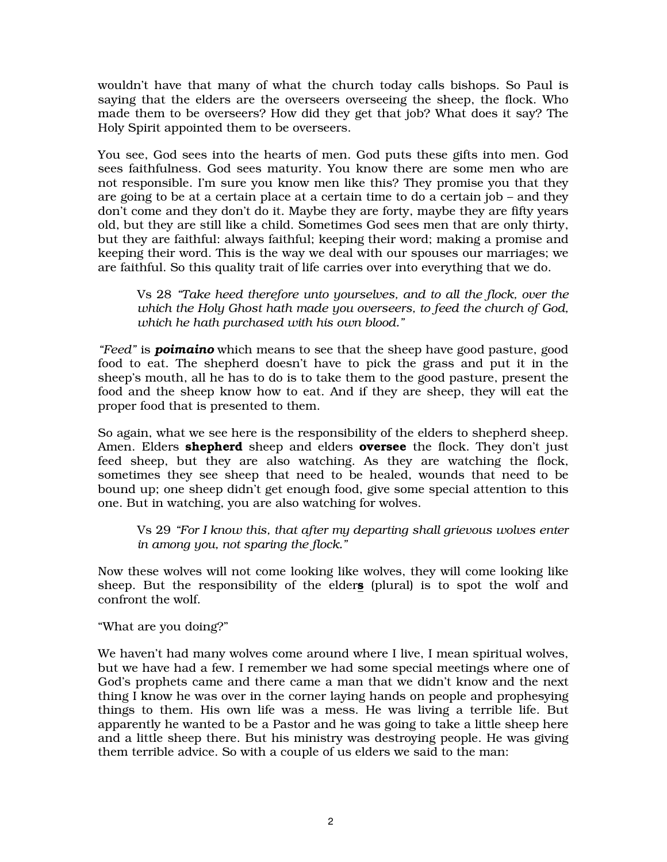wouldn't have that many of what the church today calls bishops. So Paul is saying that the elders are the overseers overseeing the sheep, the flock. Who made them to be overseers? How did they get that job? What does it say? The Holy Spirit appointed them to be overseers.

You see, God sees into the hearts of men. God puts these gifts into men. God sees faithfulness. God sees maturity. You know there are some men who are not responsible. I'm sure you know men like this? They promise you that they are going to be at a certain place at a certain time to do a certain job – and they don't come and they don't do it. Maybe they are forty, maybe they are fifty years old, but they are still like a child. Sometimes God sees men that are only thirty, but they are faithful: always faithful; keeping their word; making a promise and keeping their word. This is the way we deal with our spouses our marriages; we are faithful. So this quality trait of life carries over into everything that we do.

Vs 28 *"Take heed therefore unto yourselves, and to all the flock, over the which the Holy Ghost hath made you overseers, to feed the church of God, which he hath purchased with his own blood."* 

*"Feed"* is *poimaino* which means to see that the sheep have good pasture, good food to eat. The shepherd doesn't have to pick the grass and put it in the sheep's mouth, all he has to do is to take them to the good pasture, present the food and the sheep know how to eat. And if they are sheep, they will eat the proper food that is presented to them.

So again, what we see here is the responsibility of the elders to shepherd sheep. Amen. Elders **shepherd** sheep and elders **oversee** the flock. They don't just feed sheep, but they are also watching. As they are watching the flock, sometimes they see sheep that need to be healed, wounds that need to be bound up; one sheep didn't get enough food, give some special attention to this one. But in watching, you are also watching for wolves.

Vs 29 *"For I know this, that after my departing shall grievous wolves enter in among you, not sparing the flock."* 

Now these wolves will not come looking like wolves, they will come looking like sheep. But the responsibility of the elders (plural) is to spot the wolf and confront the wolf.

"What are you doing?"

We haven't had many wolves come around where I live, I mean spiritual wolves, but we have had a few. I remember we had some special meetings where one of God's prophets came and there came a man that we didn't know and the next thing I know he was over in the corner laying hands on people and prophesying things to them. His own life was a mess. He was living a terrible life. But apparently he wanted to be a Pastor and he was going to take a little sheep here and a little sheep there. But his ministry was destroying people. He was giving them terrible advice. So with a couple of us elders we said to the man: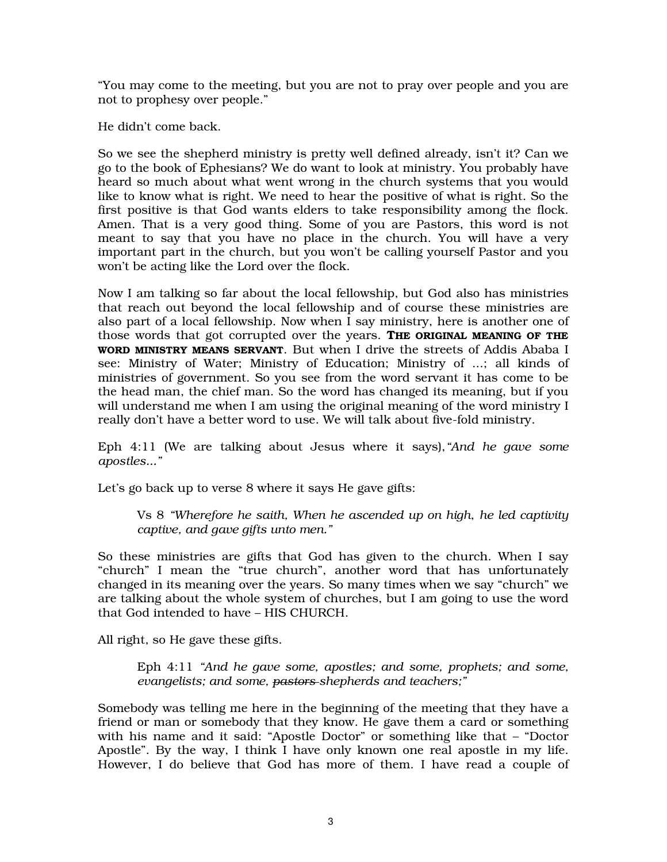"You may come to the meeting, but you are not to pray over people and you are not to prophesy over people."

He didn't come back.

So we see the shepherd ministry is pretty well defined already, isn't it? Can we go to the book of Ephesians? We do want to look at ministry. You probably have heard so much about what went wrong in the church systems that you would like to know what is right. We need to hear the positive of what is right. So the first positive is that God wants elders to take responsibility among the flock. Amen. That is a very good thing. Some of you are Pastors, this word is not meant to say that you have no place in the church. You will have a very important part in the church, but you won't be calling yourself Pastor and you won't be acting like the Lord over the flock.

Now I am talking so far about the local fellowship, but God also has ministries that reach out beyond the local fellowship and of course these ministries are also part of a local fellowship. Now when I say ministry, here is another one of those words that got corrupted over the years. THE ORIGINAL MEANING OF THE WORD MINISTRY MEANS SERVANT. But when I drive the streets of Addis Ababa I see: Ministry of Water; Ministry of Education; Ministry of ...; all kinds of ministries of government. So you see from the word servant it has come to be the head man, the chief man. So the word has changed its meaning, but if you will understand me when I am using the original meaning of the word ministry I really don't have a better word to use. We will talk about five-fold ministry.

Eph 4:11 (We are talking about Jesus where it says),*"And he gave some apostles..."* 

Let's go back up to verse 8 where it says He gave gifts:

Vs 8 *"Wherefore he saith, When he ascended up on high*, *he led captivity captive, and gave gifts unto men."* 

So these ministries are gifts that God has given to the church. When I say "church" I mean the "true church", another word that has unfortunately changed in its meaning over the years. So many times when we say "church" we are talking about the whole system of churches, but I am going to use the word that God intended to have – HIS CHURCH.

All right, so He gave these gifts.

Eph 4:11 *"And he gave some, apostles; and some, prophets; and some, evangelists; and some, pastors shepherds and teachers;"* 

Somebody was telling me here in the beginning of the meeting that they have a friend or man or somebody that they know. He gave them a card or something with his name and it said: "Apostle Doctor" or something like that – "Doctor Apostle". By the way, I think I have only known one real apostle in my life. However, I do believe that God has more of them. I have read a couple of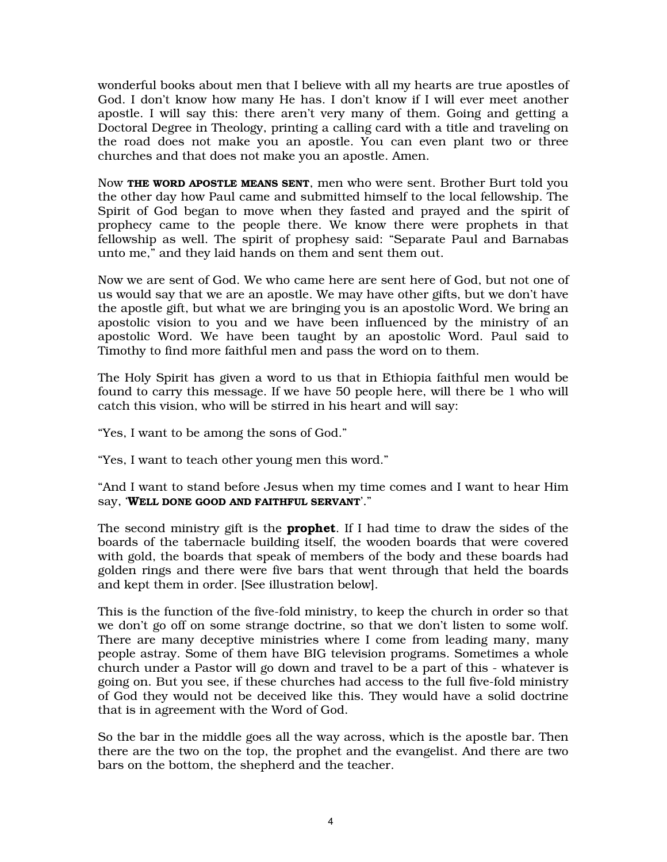wonderful books about men that I believe with all my hearts are true apostles of God. I don't know how many He has. I don't know if I will ever meet another apostle. I will say this: there aren't very many of them. Going and getting a Doctoral Degree in Theology, printing a calling card with a title and traveling on the road does not make you an apostle. You can even plant two or three churches and that does not make you an apostle. Amen.

Now THE WORD APOSTLE MEANS SENT, men who were sent. Brother Burt told you the other day how Paul came and submitted himself to the local fellowship. The Spirit of God began to move when they fasted and prayed and the spirit of prophecy came to the people there. We know there were prophets in that fellowship as well. The spirit of prophesy said: "Separate Paul and Barnabas unto me," and they laid hands on them and sent them out.

Now we are sent of God. We who came here are sent here of God, but not one of us would say that we are an apostle. We may have other gifts, but we don't have the apostle gift, but what we are bringing you is an apostolic Word. We bring an apostolic vision to you and we have been influenced by the ministry of an apostolic Word. We have been taught by an apostolic Word. Paul said to Timothy to find more faithful men and pass the word on to them.

The Holy Spirit has given a word to us that in Ethiopia faithful men would be found to carry this message. If we have 50 people here, will there be 1 who will catch this vision, who will be stirred in his heart and will say:

"Yes, I want to be among the sons of God."

"Yes, I want to teach other young men this word."

"And I want to stand before Jesus when my time comes and I want to hear Him say, 'WELL DONE GOOD AND FAITHFUL SERVANT'."

The second ministry gift is the **prophet**. If I had time to draw the sides of the boards of the tabernacle building itself, the wooden boards that were covered with gold, the boards that speak of members of the body and these boards had golden rings and there were five bars that went through that held the boards and kept them in order. [See illustration below].

This is the function of the five-fold ministry, to keep the church in order so that we don't go off on some strange doctrine, so that we don't listen to some wolf. There are many deceptive ministries where I come from leading many, many people astray. Some of them have BIG television programs. Sometimes a whole church under a Pastor will go down and travel to be a part of this - whatever is going on. But you see, if these churches had access to the full five-fold ministry of God they would not be deceived like this. They would have a solid doctrine that is in agreement with the Word of God.

So the bar in the middle goes all the way across, which is the apostle bar. Then there are the two on the top, the prophet and the evangelist. And there are two bars on the bottom, the shepherd and the teacher.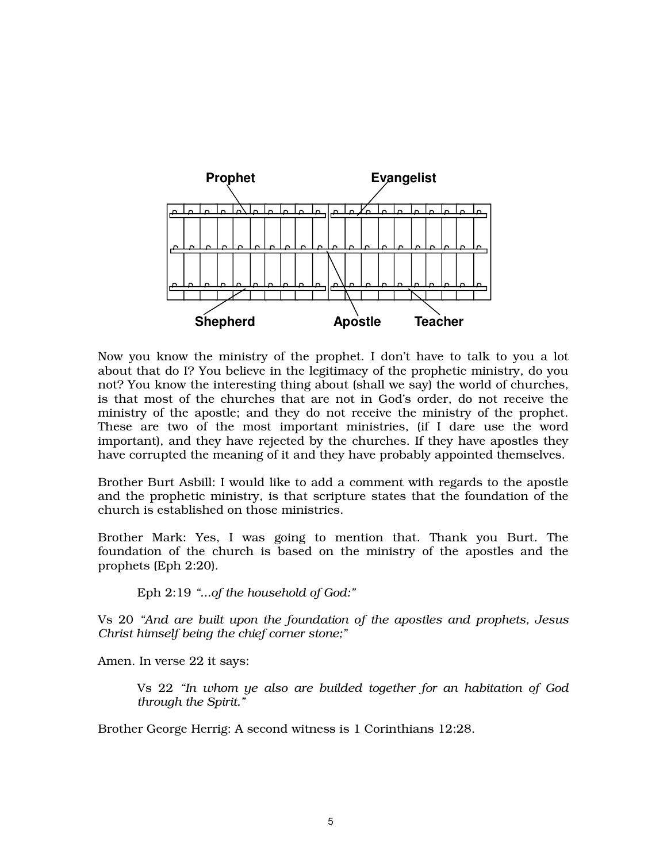

Now you know the ministry of the prophet. I don't have to talk to you a lot about that do I? You believe in the legitimacy of the prophetic ministry, do you not? You know the interesting thing about (shall we say) the world of churches, is that most of the churches that are not in God's order, do not receive the ministry of the apostle; and they do not receive the ministry of the prophet. These are two of the most important ministries, (if I dare use the word important), and they have rejected by the churches. If they have apostles they have corrupted the meaning of it and they have probably appointed themselves.

Brother Burt Asbill: I would like to add a comment with regards to the apostle and the prophetic ministry, is that scripture states that the foundation of the church is established on those ministries.

Brother Mark: Yes, I was going to mention that. Thank you Burt. The foundation of the church is based on the ministry of the apostles and the prophets (Eph 2:20).

Eph 2:19 *"...of the household of God:"* 

Vs 20 *"And are built upon the foundation of the apostles and prophets, Jesus Christ himself being the chief corner stone;"* 

Amen. In verse 22 it says:

Vs 22 *"In whom ye also are builded together for an habitation of God through the Spirit."* 

Brother George Herrig: A second witness is 1 Corinthians 12:28.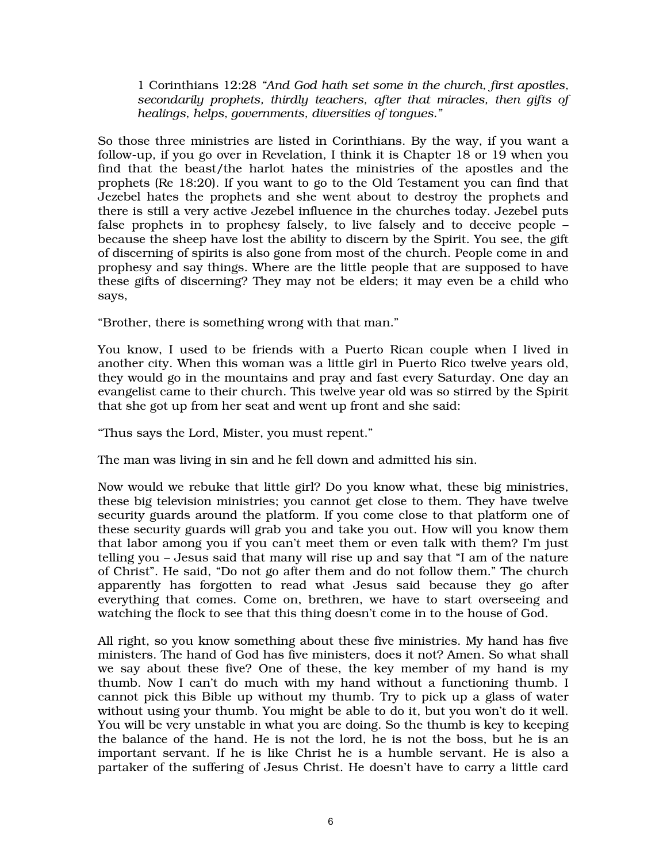1 Corinthians 12:28 *"And God hath set some in the church, first apostles, secondarily prophets, thirdly teachers, after that miracles, then gifts of healings, helps, governments, diversities of tongues."* 

So those three ministries are listed in Corinthians. By the way, if you want a follow-up, if you go over in Revelation, I think it is Chapter 18 or 19 when you find that the beast/the harlot hates the ministries of the apostles and the prophets (Re 18:20). If you want to go to the Old Testament you can find that Jezebel hates the prophets and she went about to destroy the prophets and there is still a very active Jezebel influence in the churches today. Jezebel puts false prophets in to prophesy falsely, to live falsely and to deceive people – because the sheep have lost the ability to discern by the Spirit. You see, the gift of discerning of spirits is also gone from most of the church. People come in and prophesy and say things. Where are the little people that are supposed to have these gifts of discerning? They may not be elders; it may even be a child who says,

"Brother, there is something wrong with that man."

You know, I used to be friends with a Puerto Rican couple when I lived in another city. When this woman was a little girl in Puerto Rico twelve years old, they would go in the mountains and pray and fast every Saturday. One day an evangelist came to their church. This twelve year old was so stirred by the Spirit that she got up from her seat and went up front and she said:

"Thus says the Lord, Mister, you must repent."

The man was living in sin and he fell down and admitted his sin.

Now would we rebuke that little girl? Do you know what, these big ministries, these big television ministries; you cannot get close to them. They have twelve security guards around the platform. If you come close to that platform one of these security guards will grab you and take you out. How will you know them that labor among you if you can't meet them or even talk with them? I'm just telling you – Jesus said that many will rise up and say that "I am of the nature of Christ". He said, "Do not go after them and do not follow them." The church apparently has forgotten to read what Jesus said because they go after everything that comes. Come on, brethren, we have to start overseeing and watching the flock to see that this thing doesn't come in to the house of God.

All right, so you know something about these five ministries. My hand has five ministers. The hand of God has five ministers, does it not? Amen. So what shall we say about these five? One of these, the key member of my hand is my thumb. Now I can't do much with my hand without a functioning thumb. I cannot pick this Bible up without my thumb. Try to pick up a glass of water without using your thumb. You might be able to do it, but you won't do it well. You will be very unstable in what you are doing. So the thumb is key to keeping the balance of the hand. He is not the lord, he is not the boss, but he is an important servant. If he is like Christ he is a humble servant. He is also a partaker of the suffering of Jesus Christ. He doesn't have to carry a little card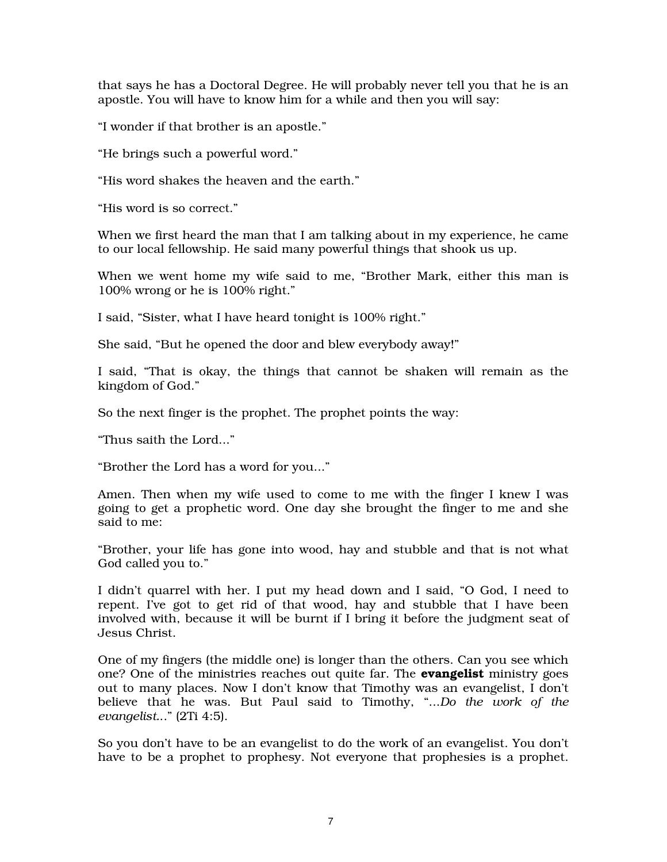that says he has a Doctoral Degree. He will probably never tell you that he is an apostle. You will have to know him for a while and then you will say:

"I wonder if that brother is an apostle."

"He brings such a powerful word."

"His word shakes the heaven and the earth."

"His word is so correct."

When we first heard the man that I am talking about in my experience, he came to our local fellowship. He said many powerful things that shook us up.

When we went home my wife said to me, "Brother Mark, either this man is 100% wrong or he is 100% right."

I said, "Sister, what I have heard tonight is 100% right."

She said, "But he opened the door and blew everybody away!"

I said, "That is okay, the things that cannot be shaken will remain as the kingdom of God."

So the next finger is the prophet. The prophet points the way:

"Thus saith the Lord..."

"Brother the Lord has a word for you..."

Amen. Then when my wife used to come to me with the finger I knew I was going to get a prophetic word. One day she brought the finger to me and she said to me:

"Brother, your life has gone into wood, hay and stubble and that is not what God called you to."

I didn't quarrel with her. I put my head down and I said, "O God, I need to repent. I've got to get rid of that wood, hay and stubble that I have been involved with, because it will be burnt if I bring it before the judgment seat of Jesus Christ.

One of my fingers (the middle one) is longer than the others. Can you see which one? One of the ministries reaches out quite far. The **evangelist** ministry goes out to many places. Now I don't know that Timothy was an evangelist, I don't believe that he was. But Paul said to Timothy, "...*Do the work of the evangelist.*.." (2Ti 4:5).

So you don't have to be an evangelist to do the work of an evangelist. You don't have to be a prophet to prophesy. Not everyone that prophesies is a prophet.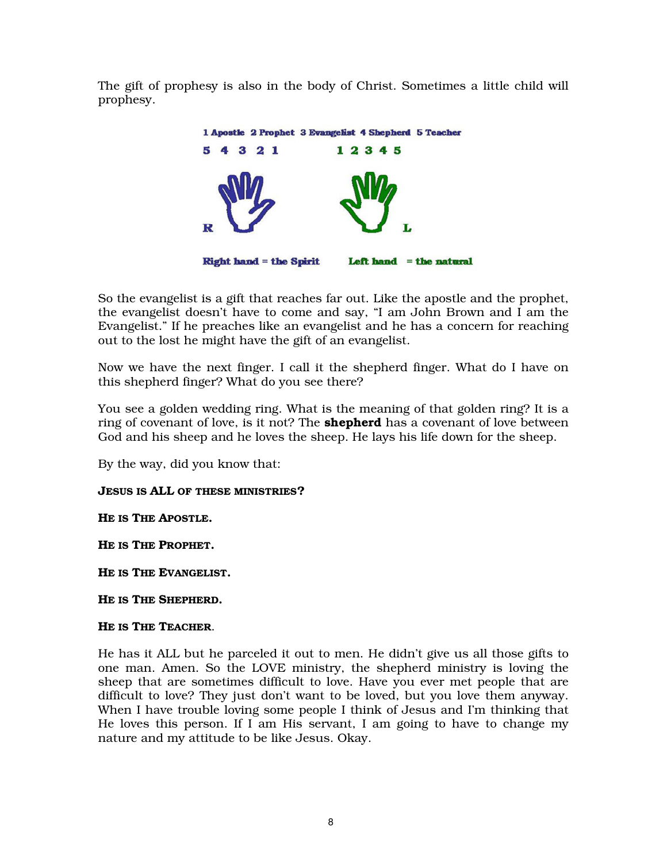The gift of prophesy is also in the body of Christ. Sometimes a little child will prophesy.



So the evangelist is a gift that reaches far out. Like the apostle and the prophet, the evangelist doesn't have to come and say, "I am John Brown and I am the Evangelist." If he preaches like an evangelist and he has a concern for reaching out to the lost he might have the gift of an evangelist.

Now we have the next finger. I call it the shepherd finger. What do I have on this shepherd finger? What do you see there?

You see a golden wedding ring. What is the meaning of that golden ring? It is a ring of covenant of love, is it not? The **shepherd** has a covenant of love between God and his sheep and he loves the sheep. He lays his life down for the sheep.

By the way, did you know that:

## JESUS IS ALL OF THESE MINISTRIES?

HE IS THE APOSTLE.

HE IS THE PROPHET.

HE IS THE EVANGELIST.

HE IS THE SHEPHERD.

### HE IS THE TEACHER.

He has it ALL but he parceled it out to men. He didn't give us all those gifts to one man. Amen. So the LOVE ministry, the shepherd ministry is loving the sheep that are sometimes difficult to love. Have you ever met people that are difficult to love? They just don't want to be loved, but you love them anyway. When I have trouble loving some people I think of Jesus and I'm thinking that He loves this person. If I am His servant, I am going to have to change my nature and my attitude to be like Jesus. Okay.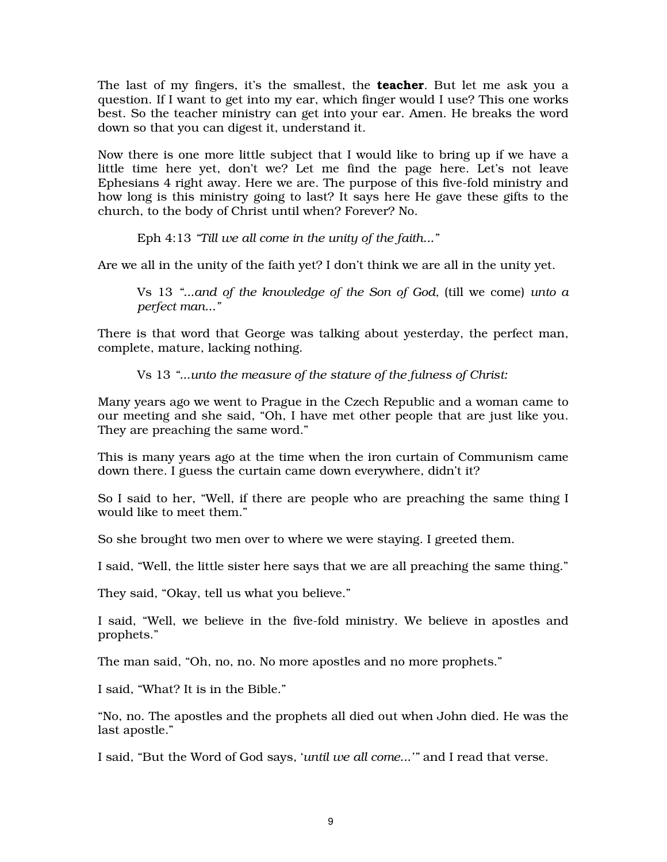The last of my fingers, it's the smallest, the **teacher**. But let me ask you a question. If I want to get into my ear, which finger would I use? This one works best. So the teacher ministry can get into your ear. Amen. He breaks the word down so that you can digest it, understand it.

Now there is one more little subject that I would like to bring up if we have a little time here yet, don't we? Let me find the page here. Let's not leave Ephesians 4 right away. Here we are. The purpose of this five-fold ministry and how long is this ministry going to last? It says here He gave these gifts to the church, to the body of Christ until when? Forever? No.

Eph 4:13 *"Till we all come in the unity of the faith..."* 

Are we all in the unity of the faith yet? I don't think we are all in the unity yet.

Vs 13 *"...and of the knowledge of the Son of God,* (till we come) *unto a perfect man..."* 

There is that word that George was talking about yesterday, the perfect man, complete, mature, lacking nothing.

Vs 13 *"...unto the measure of the stature of the fulness of Christ:* 

Many years ago we went to Prague in the Czech Republic and a woman came to our meeting and she said, "Oh, I have met other people that are just like you. They are preaching the same word."

This is many years ago at the time when the iron curtain of Communism came down there. I guess the curtain came down everywhere, didn't it?

So I said to her, "Well, if there are people who are preaching the same thing I would like to meet them."

So she brought two men over to where we were staying. I greeted them.

I said, "Well, the little sister here says that we are all preaching the same thing."

They said, "Okay, tell us what you believe."

I said, "Well, we believe in the five-fold ministry. We believe in apostles and prophets."

The man said, "Oh, no, no. No more apostles and no more prophets."

I said, "What? It is in the Bible."

"No, no. The apostles and the prophets all died out when John died. He was the last apostle."

I said, "But the Word of God says, '*until we all come...'"* and I read that verse.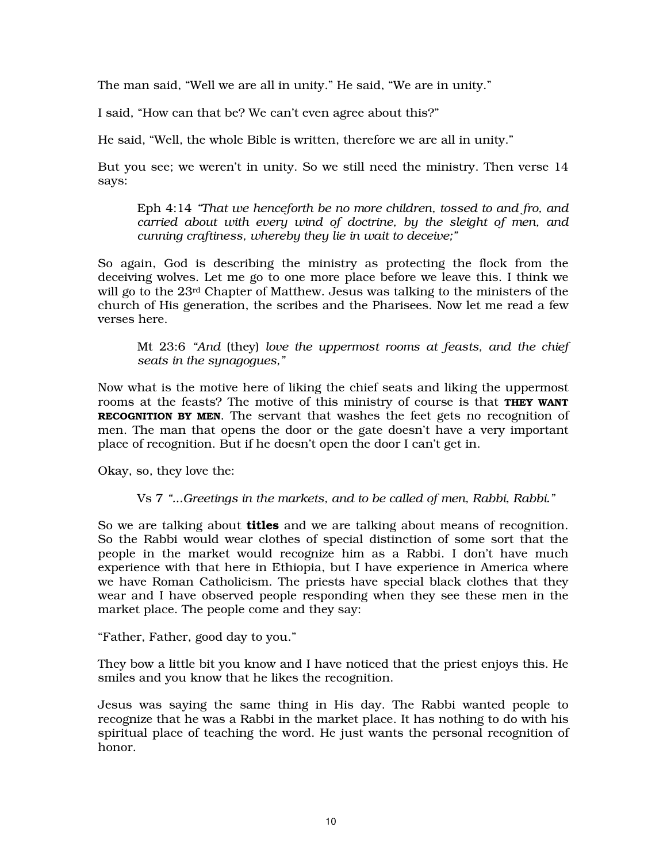The man said, "Well we are all in unity." He said, "We are in unity."

I said, "How can that be? We can't even agree about this?"

He said, "Well, the whole Bible is written, therefore we are all in unity."

But you see; we weren't in unity. So we still need the ministry. Then verse 14 says:

Eph 4:14 *"That we henceforth be no more children, tossed to and fro, and carried about with every wind of doctrine, by the sleight of men, and cunning craftiness, whereby they lie in wait to deceive;"* 

So again, God is describing the ministry as protecting the flock from the deceiving wolves. Let me go to one more place before we leave this. I think we will go to the 23rd Chapter of Matthew. Jesus was talking to the ministers of the church of His generation, the scribes and the Pharisees. Now let me read a few verses here.

Mt 23:6 *"And* (they) *love the uppermost rooms at feasts, and the chief seats in the synagogues,"* 

Now what is the motive here of liking the chief seats and liking the uppermost rooms at the feasts? The motive of this ministry of course is that **THEY WANT** RECOGNITION BY MEN. The servant that washes the feet gets no recognition of men. The man that opens the door or the gate doesn't have a very important place of recognition. But if he doesn't open the door I can't get in.

Okay, so, they love the:

Vs 7 *"...Greetings in the markets, and to be called of men, Rabbi, Rabbi."* 

So we are talking about **titles** and we are talking about means of recognition. So the Rabbi would wear clothes of special distinction of some sort that the people in the market would recognize him as a Rabbi. I don't have much experience with that here in Ethiopia, but I have experience in America where we have Roman Catholicism. The priests have special black clothes that they wear and I have observed people responding when they see these men in the market place. The people come and they say:

"Father, Father, good day to you."

They bow a little bit you know and I have noticed that the priest enjoys this. He smiles and you know that he likes the recognition.

Jesus was saying the same thing in His day. The Rabbi wanted people to recognize that he was a Rabbi in the market place. It has nothing to do with his spiritual place of teaching the word. He just wants the personal recognition of honor.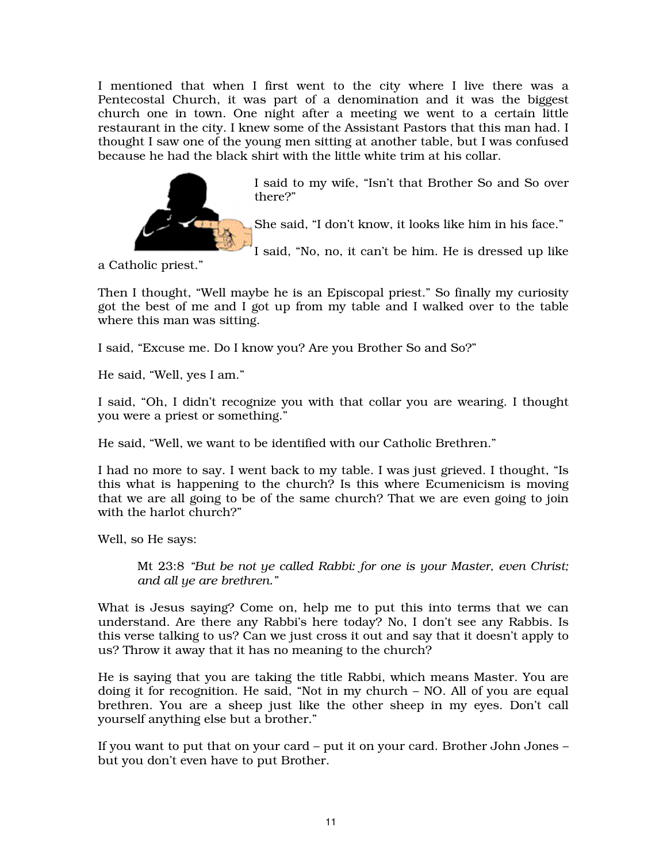I mentioned that when I first went to the city where I live there was a Pentecostal Church, it was part of a denomination and it was the biggest church one in town. One night after a meeting we went to a certain little restaurant in the city. I knew some of the Assistant Pastors that this man had. I thought I saw one of the young men sitting at another table, but I was confused because he had the black shirt with the little white trim at his collar.



I said to my wife, "Isn't that Brother So and So over there?"

She said, "I don't know, it looks like him in his face."

I said, "No, no, it can't be him. He is dressed up like

a Catholic priest."

Then I thought, "Well maybe he is an Episcopal priest." So finally my curiosity got the best of me and I got up from my table and I walked over to the table where this man was sitting.

I said, "Excuse me. Do I know you? Are you Brother So and So?"

He said, "Well, yes I am."

I said, "Oh, I didn't recognize you with that collar you are wearing. I thought you were a priest or something."

He said, "Well, we want to be identified with our Catholic Brethren."

I had no more to say. I went back to my table. I was just grieved. I thought, "Is this what is happening to the church? Is this where Ecumenicism is moving that we are all going to be of the same church? That we are even going to join with the harlot church?"

Well, so He says:

Mt 23:8 *"But be not ye called Rabbi: for one is your Master, even Christ; and all ye are brethren."* 

What is Jesus saying? Come on, help me to put this into terms that we can understand. Are there any Rabbi's here today? No, I don't see any Rabbis. Is this verse talking to us? Can we just cross it out and say that it doesn't apply to us? Throw it away that it has no meaning to the church?

He is saying that you are taking the title Rabbi, which means Master. You are doing it for recognition. He said, "Not in my church – NO. All of you are equal brethren. You are a sheep just like the other sheep in my eyes. Don't call yourself anything else but a brother."

If you want to put that on your card – put it on your card. Brother John Jones – but you don't even have to put Brother.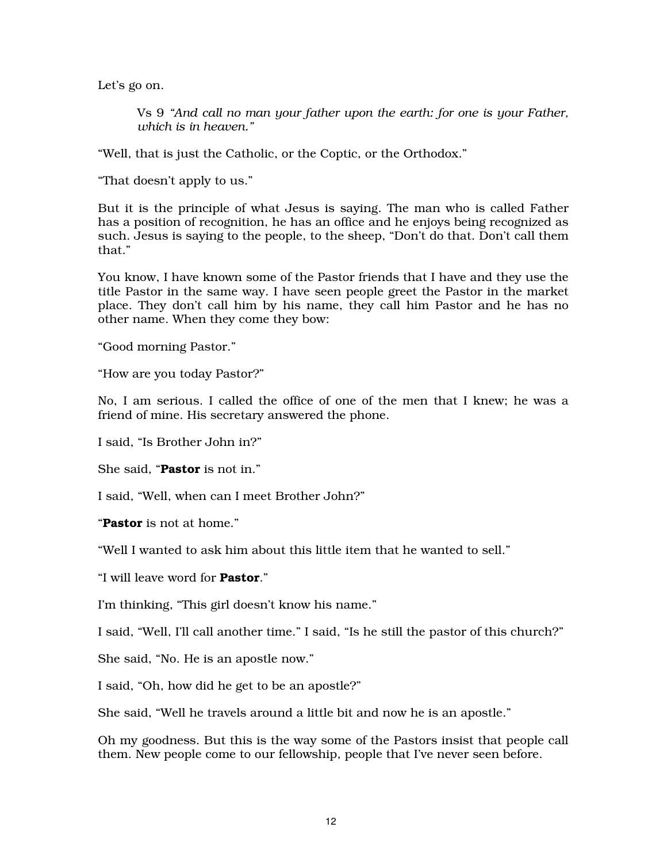Let's go on.

Vs 9 *"And call no man your father upon the earth: for one is your Father, which is in heaven."* 

"Well, that is just the Catholic, or the Coptic, or the Orthodox."

"That doesn't apply to us."

But it is the principle of what Jesus is saying. The man who is called Father has a position of recognition, he has an office and he enjoys being recognized as such. Jesus is saying to the people, to the sheep, "Don't do that. Don't call them that."

You know, I have known some of the Pastor friends that I have and they use the title Pastor in the same way. I have seen people greet the Pastor in the market place. They don't call him by his name, they call him Pastor and he has no other name. When they come they bow:

"Good morning Pastor."

"How are you today Pastor?"

No, I am serious. I called the office of one of the men that I knew; he was a friend of mine. His secretary answered the phone.

I said, "Is Brother John in?"

She said, "Pastor is not in."

I said, "Well, when can I meet Brother John?"

"Pastor is not at home."

"Well I wanted to ask him about this little item that he wanted to sell."

"I will leave word for Pastor."

I'm thinking, "This girl doesn't know his name."

I said, "Well, I'll call another time." I said, "Is he still the pastor of this church?"

She said, "No. He is an apostle now."

I said, "Oh, how did he get to be an apostle?"

She said, "Well he travels around a little bit and now he is an apostle."

Oh my goodness. But this is the way some of the Pastors insist that people call them. New people come to our fellowship, people that I've never seen before.